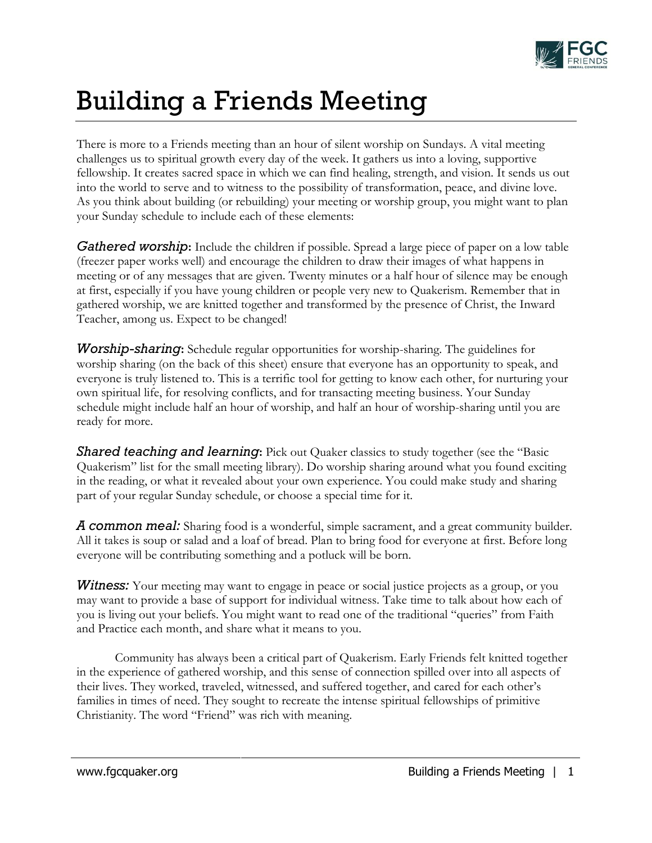

## Building a Friends Meeting

There is more to a Friends meeting than an hour of silent worship on Sundays. A vital meeting challenges us to spiritual growth every day of the week. It gathers us into a loving, supportive fellowship. It creates sacred space in which we can find healing, strength, and vision. It sends us out into the world to serve and to witness to the possibility of transformation, peace, and divine love. As you think about building (or rebuilding) your meeting or worship group, you might want to plan your Sunday schedule to include each of these elements:

*Gathered worship*: Include the children if possible. Spread a large piece of paper on a low table (freezer paper works well) and encourage the children to draw their images of what happens in meeting or of any messages that are given. Twenty minutes or a half hour of silence may be enough at first, especially if you have young children or people very new to Quakerism. Remember that in gathered worship, we are knitted together and transformed by the presence of Christ, the Inward Teacher, among us. Expect to be changed!

*Worship-sharing***:** Schedule regular opportunities for worship-sharing. The guidelines for worship sharing (on the back of this sheet) ensure that everyone has an opportunity to speak, and everyone is truly listened to. This is a terrific tool for getting to know each other, for nurturing your own spiritual life, for resolving conflicts, and for transacting meeting business. Your Sunday schedule might include half an hour of worship, and half an hour of worship-sharing until you are ready for more.

**Shared teaching and learning:** Pick out Quaker classics to study together (see the "Basic Quakerism" list for the small meeting library). Do worship sharing around what you found exciting in the reading, or what it revealed about your own experience. You could make study and sharing part of your regular Sunday schedule, or choose a special time for it.

*A common meal:* Sharing food is a wonderful, simple sacrament, and a great community builder. All it takes is soup or salad and a loaf of bread. Plan to bring food for everyone at first. Before long everyone will be contributing something and a potluck will be born.

*Witness:* Your meeting may want to engage in peace or social justice projects as a group, or you may want to provide a base of support for individual witness. Take time to talk about how each of you is living out your beliefs. You might want to read one of the traditional "queries" from Faith and Practice each month, and share what it means to you.

Community has always been a critical part of Quakerism. Early Friends felt knitted together in the experience of gathered worship, and this sense of connection spilled over into all aspects of their lives. They worked, traveled, witnessed, and suffered together, and cared for each other's families in times of need. They sought to recreate the intense spiritual fellowships of primitive Christianity. The word "Friend" was rich with meaning.